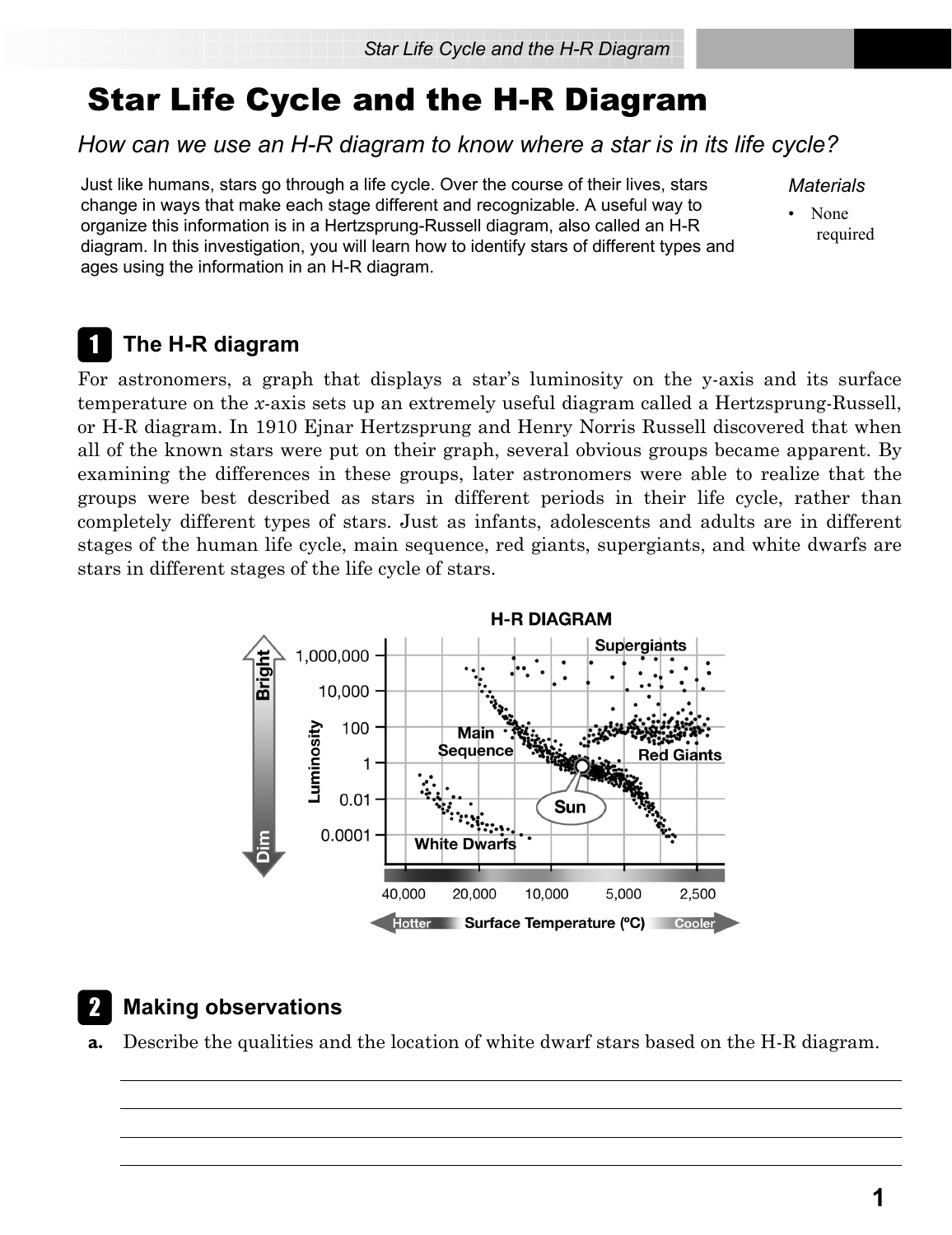# Star Life Cycle and the H-R Diagram

### *How can we use an H-R diagram to know where a star is in its life cycle?*

Just like humans, stars go through a life cycle. Over the course of their lives, stars change in ways that make each stage different and recognizable. A useful way to organize this information is in a Hertzsprung-Russell diagram, also called an H-R diagram. In this investigation, you will learn how to identify stars of different types and ages using the information in an H-R diagram.

*Materials*

• None required

## A **The H-R diagram**

For astronomers, a graph that displays a star's luminosity on the y-axis and its surface temperature on the *x*-axis sets up an extremely useful diagram called a Hertzsprung-Russell, or H-R diagram. In 1910 Ejnar Hertzsprung and Henry Norris Russell discovered that when all of the known stars were put on their graph, several obvious groups became apparent. By examining the differences in these groups, later astronomers were able to realize that the groups were best described as stars in different periods in their life cycle, rather than completely different types of stars. Just as infants, adolescents and adults are in different stages of the human life cycle, main sequence, red giants, supergiants, and white dwarfs are stars in different stages of the life cycle of stars.



## **Making observations**

**a.** Describe the qualities and the location of white dwarf stars based on the H-R diagram.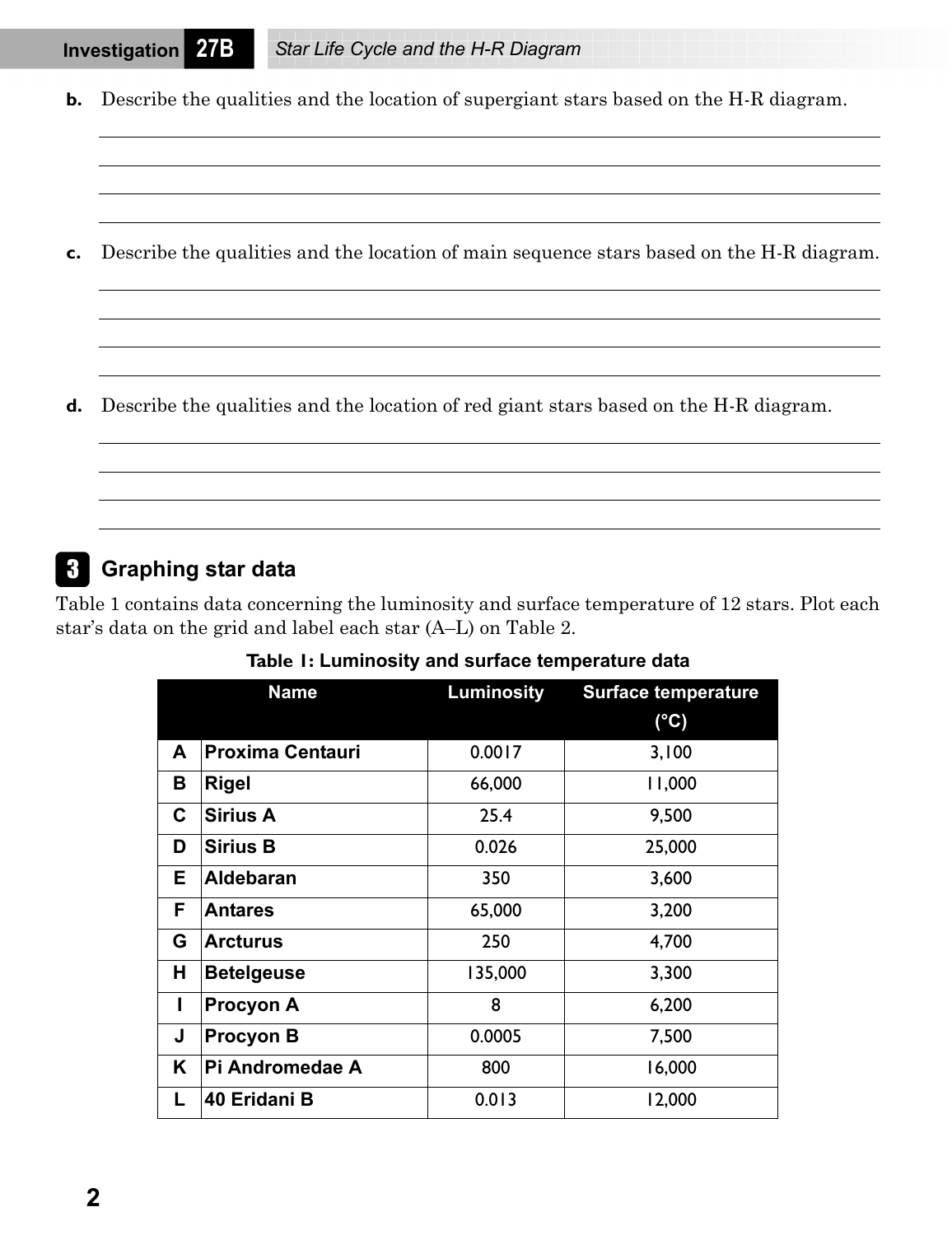**b.** Describe the qualities and the location of supergiant stars based on the H-R diagram.

**c.** Describe the qualities and the location of main sequence stars based on the H-R diagram.

**d.** Describe the qualities and the location of red giant stars based on the H-R diagram.

#### C **Graphing star data**

Table 1 contains data concerning the luminosity and surface temperature of 12 stars. Plot each star's data on the grid and label each star (A–L) on Table 2.

|   | <b>Name</b>             | <b>Luminosity</b> | <b>Surface temperature</b> |
|---|-------------------------|-------------------|----------------------------|
|   |                         |                   | $(^{\circ}C)$              |
| A | <b>Proxima Centauri</b> | 0.0017            | 3,100                      |
| В | <b>Rigel</b>            | 66,000            | 11,000                     |
| C | <b>Sirius A</b>         | 25.4              | 9,500                      |
| D | <b>Sirius B</b>         | 0.026             | 25,000                     |
| Е | <b>Aldebaran</b>        | 350               | 3,600                      |
| F | <b>Antares</b>          | 65,000            | 3,200                      |
| G | <b>Arcturus</b>         | 250               | 4,700                      |
| н | <b>Betelgeuse</b>       | 135,000           | 3,300                      |
| I | <b>Procyon A</b>        | 8                 | 6,200                      |
| J | <b>Procyon B</b>        | 0.0005            | 7,500                      |
| Κ | Pi Andromedae A         | 800               | 16,000                     |
| L | 40 Eridani B            | 0.013             | 12,000                     |

**Table 1: Luminosity and surface temperature data**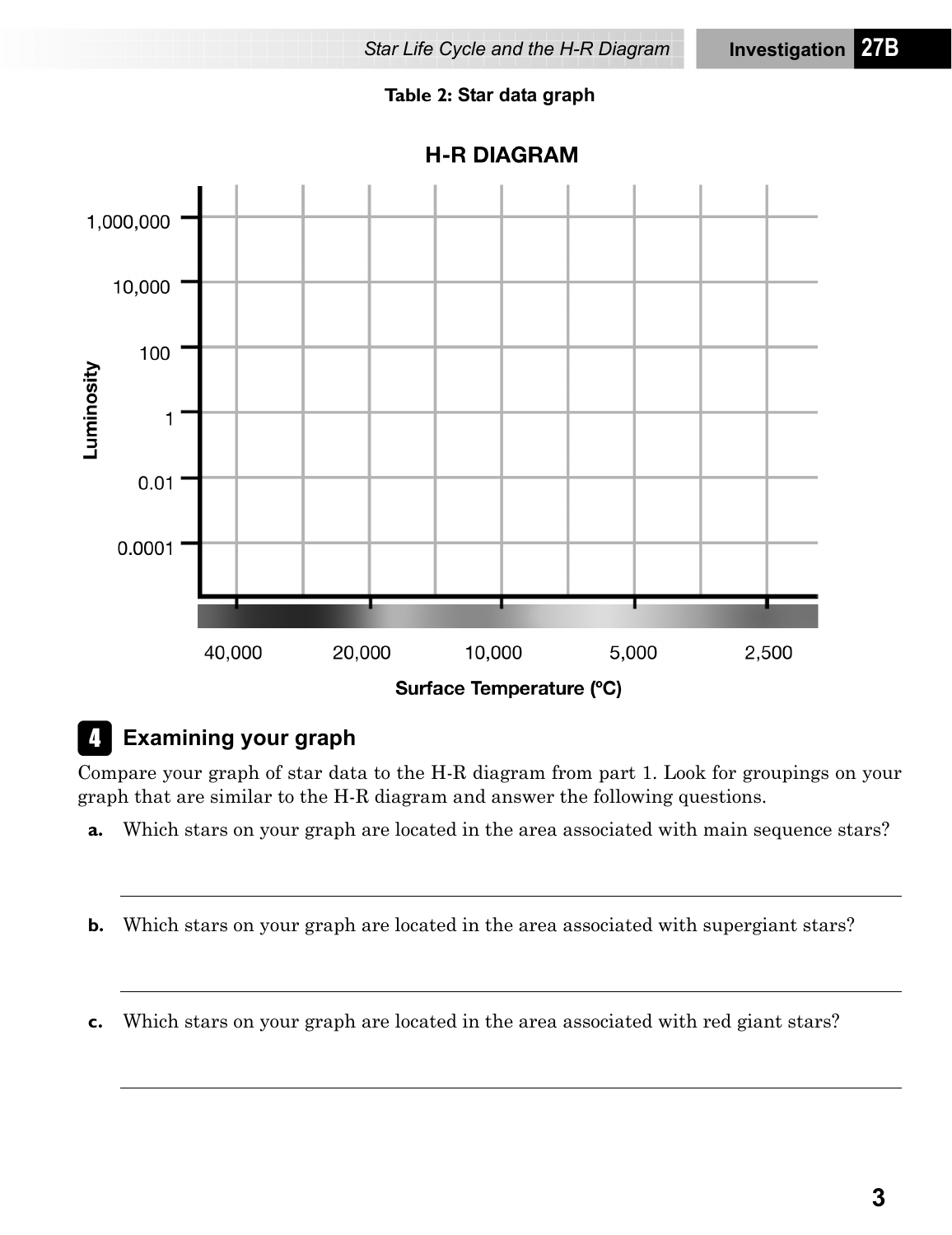#### **Table 2: Star data graph**



D **Examining your graph**

Compare your graph of star data to the H-R diagram from part 1. Look for groupings on your graph that are similar to the H-R diagram and answer the following questions.

- **a.** Which stars on your graph are located in the area associated with main sequence stars?
- **b.** Which stars on your graph are located in the area associated with supergiant stars?
- **c.** Which stars on your graph are located in the area associated with red giant stars?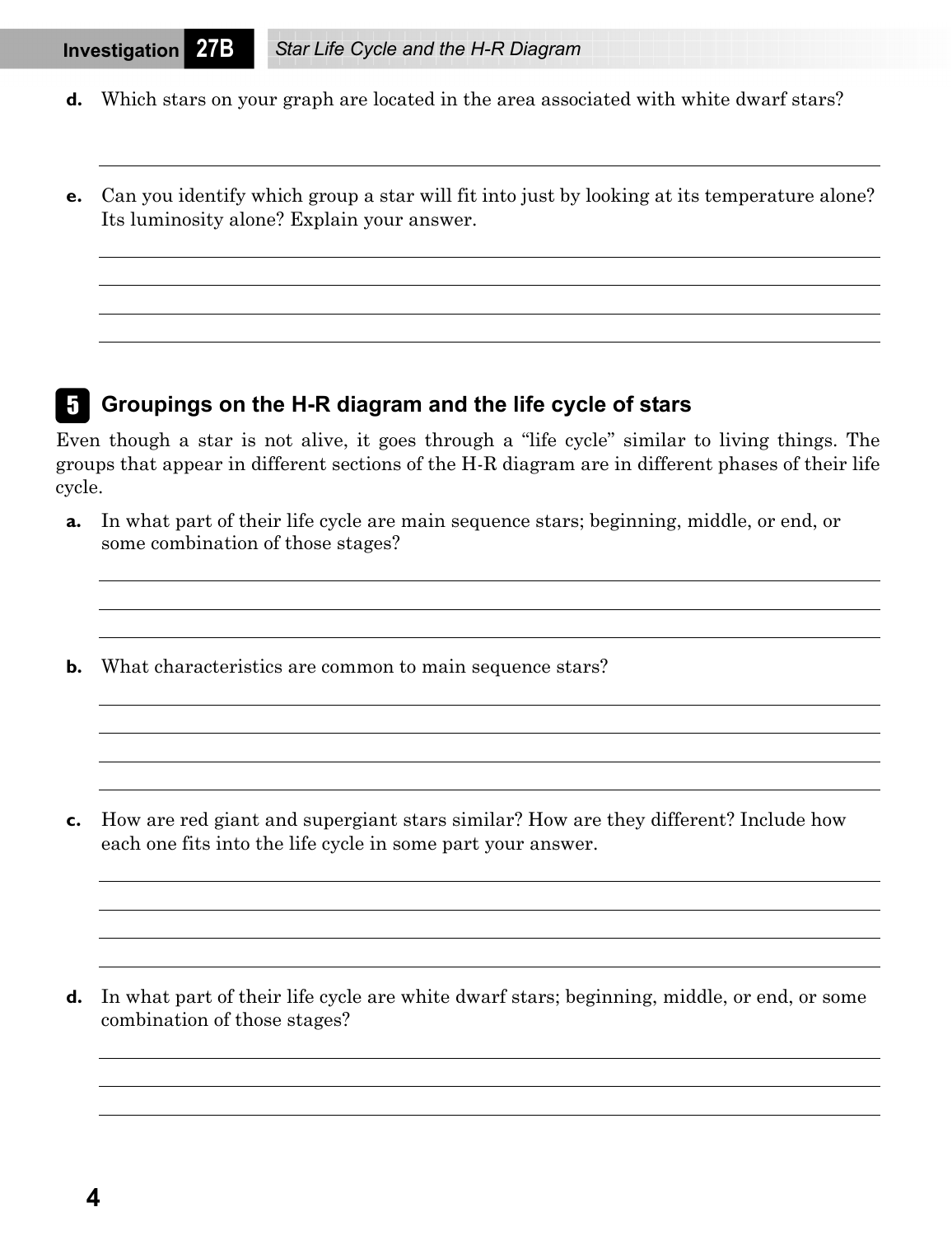- **d.** Which stars on your graph are located in the area associated with white dwarf stars?
- **e.** Can you identify which group a star will fit into just by looking at its temperature alone? Its luminosity alone? Explain your answer.

#### E **Groupings on the H-R diagram and the life cycle of stars**

Even though a star is not alive, it goes through a "life cycle" similar to living things. The groups that appear in different sections of the H-R diagram are in different phases of their life cycle.

- **a.** In what part of their life cycle are main sequence stars; beginning, middle, or end, or some combination of those stages?
- **b.** What characteristics are common to main sequence stars?

**c.** How are red giant and supergiant stars similar? How are they different? Include how each one fits into the life cycle in some part your answer.

**d.** In what part of their life cycle are white dwarf stars; beginning, middle, or end, or some combination of those stages?